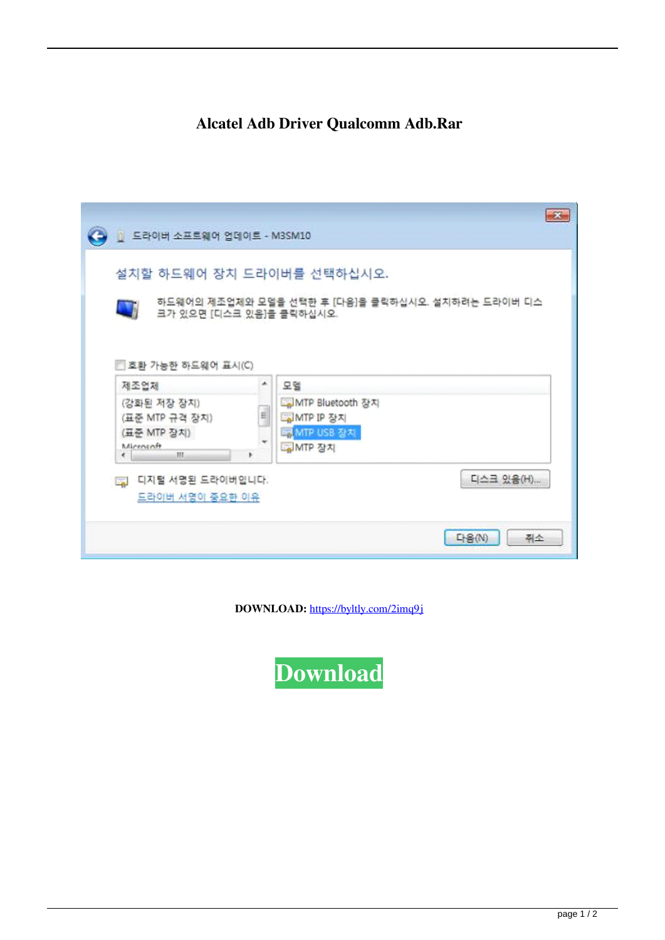## Alcatel Adb Driver Qualcomm Adb.Rar

| □ 드라이버 소프트웨어 업데이트 - M3SM10                                                                                                                            | $\mathbf{z}$                                                                    |
|-------------------------------------------------------------------------------------------------------------------------------------------------------|---------------------------------------------------------------------------------|
| 설치할 하드웨어 장치 드라이버를 선택하십시오.<br>하드웨어의 제조업체와 모델을 선택한 후 [다음]을 클릭하십시오. 설치하려는 드라이버 디스<br><b>All</b><br>크가 있으면 [디스크 있음]을 클릭하십시오.<br>□ 호환 가능한 하드웨어 표시(C)       |                                                                                 |
| ٠.<br>제조업제<br>(강화된 저장 장치)<br>E<br>(표준 MTP 규격 장치)<br>(표준 MTP 장치)<br>Mirrnsnft<br>HL.<br>$\epsilon$<br>디지털 서명된 드라이버입니다.<br><b>Co</b><br>드라이버 서명이 중요한 이유 | 모델<br>La MTP Bluetooth 장지<br>MTP IP 장치<br>EN MTP USB 장치<br>GMTP 장치<br>디스크 있음(H) |
|                                                                                                                                                       | <b>다음(N)</b><br>쥐소                                                              |

DOWNLOAD: https://byltly.com/2imq9j